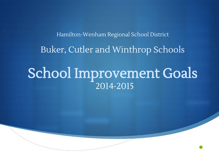EXHIBIT O3

•

Hamilton-Wenham Regional School District Buker, Cutler and Winthrop Schools

#### School Improvement Goals 2014-2015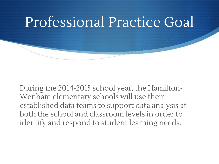During the 2014-2015 school year, the Hamilton-Wenham elementary schools will use their established data teams to support data analysis at both the school and classroom levels in order to identify and respond to student learning needs.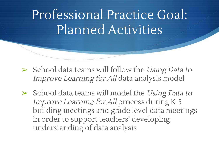### Professional Practice Goal: Planned Activities

- $\triangleright$  School data teams will follow the Using Data to Improve Learning for All data analysis model
- ➢ School data teams will model the Using Data to Improve Learning for All process during K-5 building meetings and grade level data meetings in order to support teachers' developing understanding of data analysis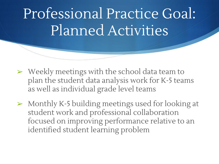# Professional Practice Goal: Planned Activities

- ➢ Weekly meetings with the school data team to plan the student data analysis work for K-5 teams as well as individual grade level teams
- ➢ Monthly K-5 building meetings used for looking at student work and professional collaboration focused on improving performance relative to an identified student learning problem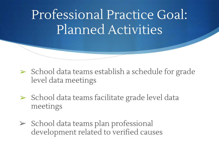### Professional Practice Goal: Planned Activities

- ➢ School data teams establish a schedule for grade level data meetings
- ➢ School data teams facilitate grade level data meetings
- ➢ School data teams plan professional development related to verified causes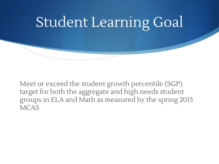

Meet or exceed the student growth percentile (SGP) target for both the aggregate and high needs student groups in ELA and Math as measured by the spring 2015 **MCAS**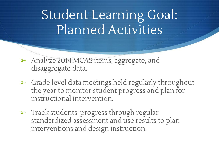- ➢ Analyze 2014 MCAS items, aggregate, and disaggregate data.
- ➢ Grade level data meetings held regularly throughout the year to monitor student progress and plan for instructional intervention.
- ➢ Track students' progress through regular standardized assessment and use results to plan interventions and design instruction.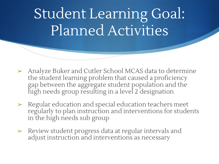- ➢ Analyze Buker and Cutler School MCAS data to determine the student learning problem that caused a proficiency gap between the aggregate student population and the high needs group resulting in a level 2 designation
- ➢ Regular education and special education teachers meet regularly to plan instruction and interventions for students in the high needs sub group
- ➢ Review student progress data at regular intervals and adjust instruction and interventions as necessary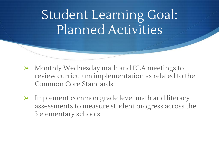- ➢ Monthly Wednesday math and ELA meetings to review curriculum implementation as related to the Common Core Standards
- ➢ Implement common grade level math and literacy assessments to measure student progress across the 3 elementary schools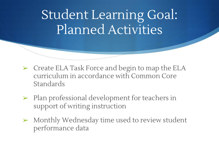- ➢ Create ELA Task Force and begin to map the ELA curriculum in accordance with Common Core Standards
- ➢ Plan professional development for teachers in support of writing instruction
- ➢ Monthly Wednesday time used to review student performance data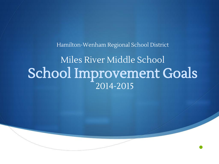Hamilton-Wenham Regional School District

#### Miles River Middle School School Improvement Goals 2014-2015

•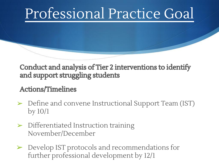#### Conduct and analysis of Tier 2 interventions to identify and support struggling students

#### Actions/Timelines

- ➢ Define and convene Instructional Support Team (IST) by 10/1
- $\triangleright$  Differentiated Instruction training November/December
- ➢ Develop IST protocols and recommendations for further professional development by 12/1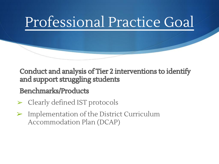Conduct and analysis of Tier 2 interventions to identify and support struggling students

#### Benchmarks/Products

- ➢ Clearly defined IST protocols
- ➢ Implementation of the District Curriculum Accommodation Plan (DCAP)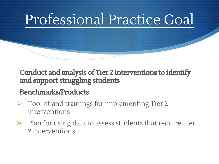Conduct and analysis of Tier 2 interventions to identify and support struggling students

#### Benchmarks/Products

- ➢ Toolkit and trainings for implementing Tier 2 interventions
- ➢ Plan for using data to assess students that require Tier 2 interventions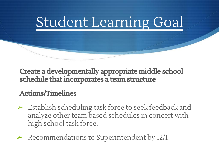

Create a developmentally appropriate middle school schedule that incorporates a team structure

#### Actions/Timelines

- ➢ Establish scheduling task force to seek feedback and analyze other team based schedules in concert with high school task force.
- ➢ Recommendations to Superintendent by 12/1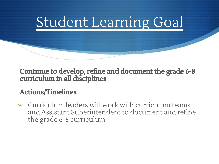

#### Continue to develop, refine and document the grade 6-8 curriculum in all disciplines

#### Actions/Timelines

➢ Curriculum leaders will work with curriculum teams and Assistant Superintendent to document and refine the grade 6-8 curriculum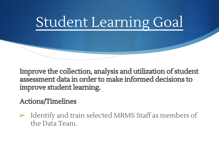

Improve the collection, analysis and utilization of student assessment data in order to make informed decisions to improve student learning.

Actions/Timelines

➢ Identify and train selected MRMS Staff as members of the Data Team.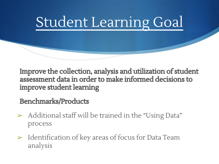

Improve the collection, analysis and utilization of student assessment data in order to make informed decisions to improve student learning

Benchmarks/Products

- ➢ Additional staff will be trained in the "Using Data" process
- $\triangleright$  Identification of key areas of focus for Data Team analysis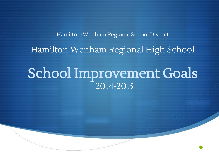# Hamilton-Wenham Regional School District Hamilton Wenham Regional High School

#### School Improvement Goals 2014-2015

•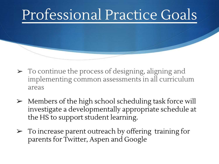- ➢ To continue the process of designing, aligning and implementing common assessments in all curriculum areas
- ➢ Members of the high school scheduling task force will investigate a developmentally appropriate schedule at the HS to support student learning.
- ➢ To increase parent outreach by offering training for parents for Twitter, Aspen and Google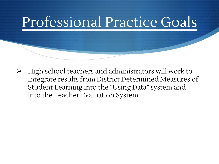➢ High school teachers and administrators will work to Integrate results from District Determined Measures of Student Learning into the "Using Data" system and into the Teacher Evaluation System.